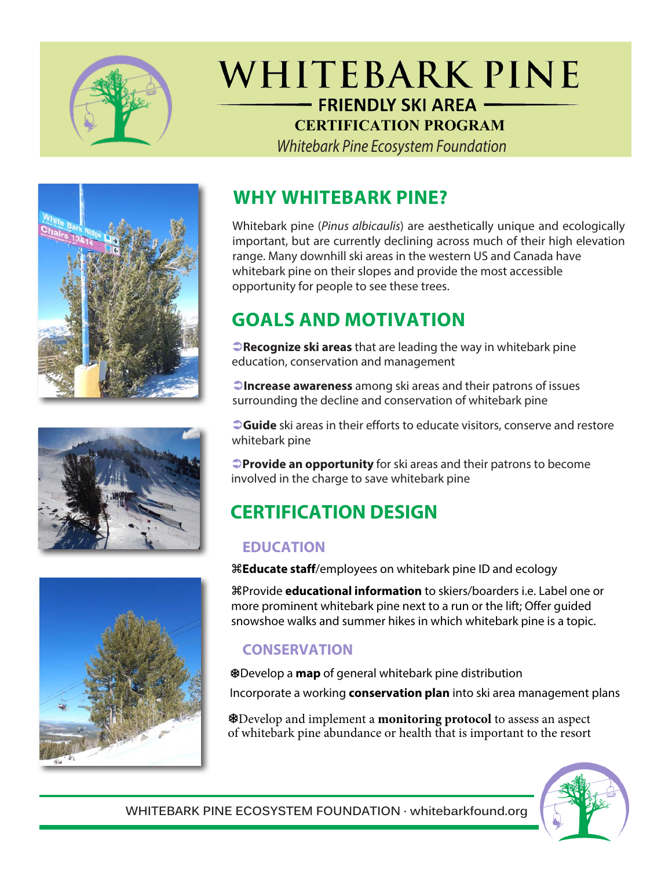

# WHITEBARK PINE - FRIENDLY SKI AREA -**CERTIFICATION PROGRAM**

Whitebark Pine Ecosystem Foundation







### **WHY WHITEBARK PINE?**

Whitebark pine (*Pinus albicaulis*) are aesthetically unique and ecologically important, but are currently declining across much of their high elevation range. Many downhill ski areas in the western US and Canada have whitebark pine on their slopes and provide the most accessible opportunity for people to see these trees.

# **GOALS AND MOTIVATION**

**Precognize ski areas** that are leading the way in whitebark pine education, conservation and management

**Increase awareness** among ski areas and their patrons of issues surrounding the decline and conservation of whitebark pine

**Cuide** ski areas in their efforts to educate visitors, conserve and restore whitebark pine

**Provide an opportunity** for ski areas and their patrons to become involved in the charge to save whitebark pine

# **CERTIFICATION DESIGN**

#### **EDUCATION**

**Educate staff**/employees on whitebark pine ID and ecology

Provide **educational information** to skiers/boarders i.e. Label one or more prominent whitebark pine next to a run or the lift; Offer guided snowshoe walks and summer hikes in which whitebark pine is a topic.

### **CONSERVATION**

Develop a **map** of general whitebark pine distribution Incorporate a working **conservation plan** into ski area management plans

Develop and implement a **monitoring protocol** to assess an aspect of whitebark pine abundance or health that is important to the resort



**WHITEBARK PINE ECOSYSTEM FOUNDATION · whitebarkfound.org**